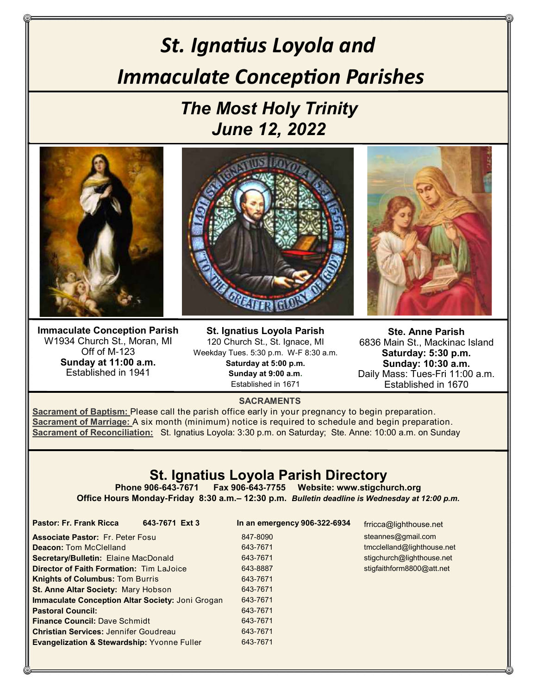# *St. Ignatius Loyola and Immaculate Conception Parishes*

## *The Most Holy Trinity June 12, 2022*



**Immaculate Conception Parish** W1934 Church St., Moran, MI Off of M-123 **Sunday at 11:00 a.m.** Established in 1941

**St. Ignatius Loyola Parish** 120 Church St., St. Ignace, MI Weekday Tues. 5:30 p.m. W-F 8:30 a.m. **Saturday at 5:00 p.m. Sunday at 9:00 a.m.** Established in 1671



**Ste. Anne Parish** 6836 Main St., Mackinac Island **Saturday: 5:30 p.m. Sunday: 10:30 a.m.** Daily Mass: Tues-Fri 11:00 a.m. Established in 1670

#### **SACRAMENTS**

**Sacrament of Baptism:** Please call the parish office early in your pregnancy to begin preparation. **Sacrament of Marriage:** A six month (minimum) notice is required to schedule and begin preparation. **Sacrament of Reconciliation:** St. Ignatius Loyola: 3:30 p.m. on Saturday; Ste. Anne: 10:00 a.m. on Sunday

### **St. Ignatius Loyola Parish Directory**

**Phone 906-643-7671 Fax 906-643-7755 Website: www.stigchurch.org Office Hours Monday-Friday 8:30 a.m.– 12:30 p.m.** *Bulletin deadline is Wednesday at 12:00 p.m.*

> 847-8090 643-7671 643-7671 643-8887 643-7671 643-7671 643-7671 643-7671 643-7671 643-7671 643-7671

**Pastor: Fr. Frank Ricca 643-7671 Ext 3 In an emergency 906-322-6934** 

frricca@lighthouse.net steannes@gmail.com tmcclelland@lighthouse.net stigchurch@lighthouse.net stigfaithform8800@att.net

| <b>Associate Pastor: Fr. Peter Fosul</b>                |  |  |  |  |  |
|---------------------------------------------------------|--|--|--|--|--|
| <b>Deacon: Tom McClelland</b>                           |  |  |  |  |  |
| <b>Secretary/Bulletin: Elaine MacDonald</b>             |  |  |  |  |  |
| <b>Director of Faith Formation: Tim LaJoice</b>         |  |  |  |  |  |
| <b>Knights of Columbus: Tom Burris</b>                  |  |  |  |  |  |
| St. Anne Altar Society: Mary Hobson                     |  |  |  |  |  |
| <b>Immaculate Conception Altar Society: Joni Grogan</b> |  |  |  |  |  |
| <b>Pastoral Council:</b>                                |  |  |  |  |  |
| <b>Finance Council: Dave Schmidt</b>                    |  |  |  |  |  |
| <b>Christian Services: Jennifer Goudreau</b>            |  |  |  |  |  |
| <b>Evangelization &amp; Stewardship: Yvonne Fuller</b>  |  |  |  |  |  |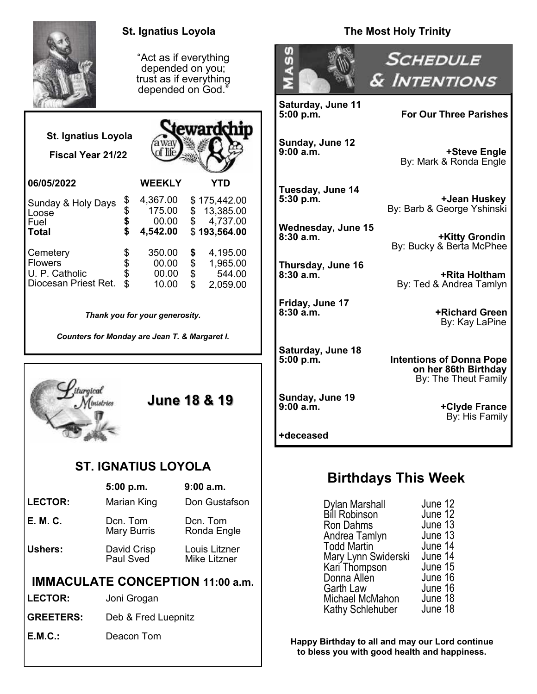|                                                          | <b>St. Ignatius Loyola</b>                                                               |                                                                       | <b>The Most Holy Trinity</b>                                                                    |                                                                                 |  |
|----------------------------------------------------------|------------------------------------------------------------------------------------------|-----------------------------------------------------------------------|-------------------------------------------------------------------------------------------------|---------------------------------------------------------------------------------|--|
|                                                          | "Act as if everything<br>depended on you;<br>trust as if everything<br>depended on God." |                                                                       | თ<br>თ                                                                                          | <b>SCHEDULE</b><br>& INTENTIONS                                                 |  |
|                                                          |                                                                                          |                                                                       | Saturday, June 11<br>5:00 p.m.                                                                  | <b>For Our Three Parishes</b>                                                   |  |
| <b>St. Ignatius Loyola</b><br>Fiscal Year 21/22          | away                                                                                     | <b><i><u>Rewardchip</u></i></b>                                       | Sunday, June 12<br>9:00 a.m.                                                                    | +Steve Engle<br>By: Mark & Ronda Engle                                          |  |
| 06/05/2022                                               | <b>WEEKLY</b><br>4,367.00<br>\$                                                          | <b>YTD</b><br>\$175,442.00                                            | Tuesday, June 14<br>5:30 p.m.                                                                   | +Jean Huskey                                                                    |  |
| Sunday & Holy Days<br>Loose<br>Fuel                      | $\ddot{\boldsymbol{\theta}}$<br>175.00<br>\$<br>00.00                                    | 13,385.00<br>\$<br>\$<br>4,737.00                                     | Wednesday, June 15                                                                              | By: Barb & George Yshinski                                                      |  |
| <b>Total</b><br>Cemetery                                 | 4,542.00<br>350.00                                                                       | \$193,564.00<br>4,195.00<br>\$                                        | 8:30a.m.                                                                                        | <b>+Kitty Grondin</b><br>By: Bucky & Berta McPhee                               |  |
| <b>Flowers</b><br>U. P. Catholic<br>Diocesan Priest Ret. | \$<br>00.00<br>\$<br>00.00<br>10.00                                                      | \$<br>\$<br>1,965.00<br>544.00<br>$\overline{\mathbf{S}}$<br>2,059.00 | Thursday, June 16<br>$8:30$ a.m.                                                                | +Rita Holtham<br>By: Ted & Andrea Tamlyn                                        |  |
| Thank you for your generosity.                           |                                                                                          |                                                                       | Friday, June 17<br>8:30 a.m.                                                                    | +Richard Green<br>By: Kay LaPine                                                |  |
| Counters for Monday are Jean T. & Margaret I.            |                                                                                          |                                                                       | Saturday, June 18<br>5:00 p.m.                                                                  | <b>Intentions of Donna Pope</b><br>on her 86th Birthday<br>By: The Theut Family |  |
| iturgical<br><b>June 18 &amp; 19</b><br>Ministries       |                                                                                          |                                                                       | Sunday, June 19<br>9:00 a.m.<br>+deceased                                                       | +Clyde France<br>By: His Family                                                 |  |
| <b>ST. IGNATIUS LOYOLA</b>                               |                                                                                          |                                                                       |                                                                                                 |                                                                                 |  |
|                                                          | 5:00 p.m.                                                                                | 9:00 a.m.                                                             |                                                                                                 | <b>Birthdays This Week</b>                                                      |  |
| <b>LECTOR:</b>                                           | Marian King                                                                              | Don Gustafson                                                         | Dylan Marshall                                                                                  | June 12                                                                         |  |
| <b>E. M. C.</b>                                          | Dcn. Tom<br>Mary Burris                                                                  | Dcn. Tom<br>Ronda Engle                                               | <b>Bill Robinson</b><br>Ron Dahms<br>Andrea Tamlyn                                              | June 12<br>June 13<br>June 13                                                   |  |
| <b>Ushers:</b>                                           | David Crisp<br>Paul Sved                                                                 | Louis Litzner<br>Mike Litzner                                         | June 14<br><b>Todd Martin</b><br>June 14<br>Mary Lynn Swiderski<br>June 15                      |                                                                                 |  |
| <b>IMMACULATE CONCEPTION 11:00 a.m.</b>                  |                                                                                          |                                                                       | Garth Law                                                                                       | Kari Thompson<br>Donna Allen<br>June 16<br>June 16                              |  |
| <b>LECTOR:</b>                                           | Joni Grogan                                                                              |                                                                       | Michael McMahon<br>June 18<br>June 18<br>Kathy Schlehuber                                       |                                                                                 |  |
| <b>GREETERS:</b>                                         | Deb & Fred Luepnitz                                                                      |                                                                       |                                                                                                 |                                                                                 |  |
| <b>E.M.C.:</b>                                           | Deacon Tom                                                                               |                                                                       | Happy Birthday to all and may our Lord continue<br>to bless you with good health and happiness. |                                                                                 |  |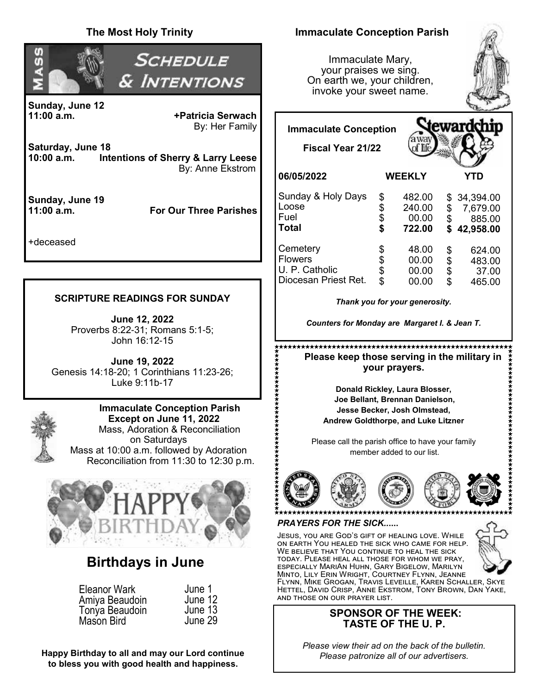#### **The Most Holy Trinity Immaculate Conception Parish** *SCHEDULE* Immaculate Mary, σ your praises we sing. & Intentions On earth we, your children, invoke your sweet name. **Sunday, June 12 11:00 a.m. +Patricia Serwach** By: Her Family eward **Immaculate Conception Saturday, June 18 Fiscal Year 21/22 Intentions of Sherry & Larry Leese** By: Anne Ekstrom **06/05/2022 WEEKLY YTD** Sunday & Holy Days  $$ 482.00$ <br> $$ 240.00$ \$ 34,394.00<br>\$ 7.679.00 **Sunday, June 19** Loose  $$ 240.00$ <br> $$ 00.00$ \$ 7,679.00 **11:00 a.m. For Our Three Parishes** Fuel  $$ 00.00$ <br> $$ 722.00$ \$ 885.00 **Total \$ 722.00 \$ 42,958.00** +deceased Cemetery  $$ 48.00$ <br> $$ 00.00$  $$ 624.00$ <br> $$ 483.00$ Flowers  $$ 00.00$ <br> $$ 00.00$ 483.00 U. P. Catholic  $$ 00.00$ <br> $$ 00.00$ \$ 37.00 Diocesan Priest Ret.  $00.00$ \$ 465.00 **SCRIPTURE READINGS FOR SUNDAY**  *Thank you for your generosity.*  **June 12, 2022** *Counters for Monday are Margaret I. & Jean T.* Proverbs 8:22-31; Romans 5:1-5; John 16:12-15  **Please keep those serving in the military in June 19, 2022 your prayers.** Genesis 14:18-20; 1 Corinthians 11:23-26; Luke 9:11b-17 **Donald Rickley, Laura Blosser, Joe Bellant, Brennan Danielson, Immaculate Conception Parish Jesse Becker, Josh Olmstead, Except on June 11, 2022 Andrew Goldthorpe, and Luke Litzner** Mass, Adoration & Reconciliation on Saturdays Please call the parish office to have your family Mass at 10:00 a.m. followed by Adoration member added to our list. Reconciliation from 11:30 to 12:30 p.m. *PRAYERS FOR THE SICK..***....** Jesus, you are God's gift of healing love. While on earth You healed the sick who came for help. WE BELIEVE THAT YOU CONTINUE TO HEAL THE SICK today. Please heal all those for whom we pray, **Birthdays in June** especially MariAn Huhn, Gary Bigelow, Marilyn Minto, Lily Erin Wright, Courtney Flynn, Jeanne Flynn, Mike Grogan, Travis Leveille, Karen Schaller, Skye Eleanor Wark June 1 Hettel, David Crisp, Anne Ekstrom, Tony Brown, Dan Yake, and those on our prayer list. June 12 Amiya Beaudoin Tonya Beaudoin June 13 **SPONSOR OF THE WEEK:** June 29Mason Bird **TASTE OF THE U. P.**

*Please view their ad on the back of the bulletin. Please patronize all of our advertisers.*

**Happy Birthday to all and may our Lord continue to bless you with good health and happiness.**